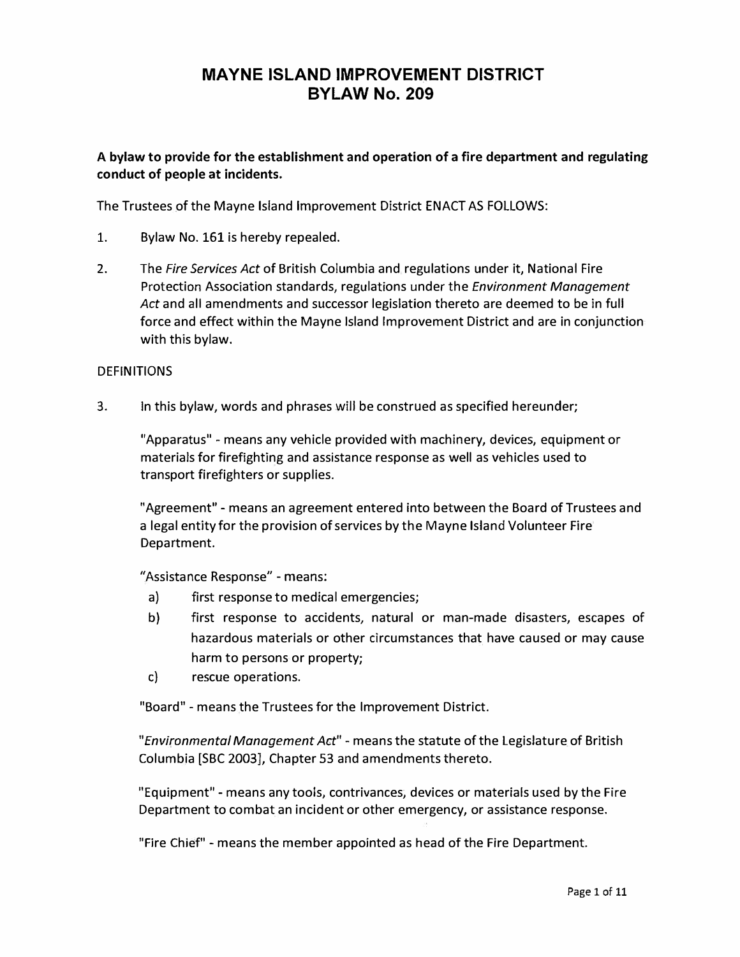### A bylaw to provide for the establishment and operation of a fire department and regulating conduct of people at incidents.

The Trustees of the Mayne Island Improvement District ENACT AS FOLLOWS:

- 1. Bylaw No. 161 is hereby repealed.
- 2. The *Fire Services Act* of British Columbia and regulations under it, National Fire Protection Association standards, regulations under the *Environment Management Act* and all amendments and successor legislation thereto are deemed to be in full force and effect within the Mayne Island Improvement District and are in conjunction with this bylaw.

### DEFINITIONS

3. In this bylaw, words and phrases will be construed as specified hereunder;

"Apparatus" - means any vehicle provided with machinery, devices, equipment or materials for firefighting and assistance response as well as vehicles used to transport firefighters or supplies.

"Agreement" - means an agreement entered into between the Board of Trustees and a legal entity for the provision of services by the Mayne Island Volunteer Fire Department.

"Assistance Response" - means:

- a) first response to medical emergencies;
- b) first response to accidents, natural or man-made disasters, escapes of hazardous materials or other circumstances that have caused or may cause harm to persons or property;
- c) rescue operations.

"Board" - means the Trustees for the Improvement District.

*"Environmental Management Act"* - means the statute of the Legislature of British Columbia [SBC 2003], Chapter 53 and amendments thereto.

"Equipment" - means any tools, contrivances, devices or materials used by the Fire Department to combat an incident or other emergency, or assistance response.

"Fire Chief" - means the member appointed as head of the Fire Department.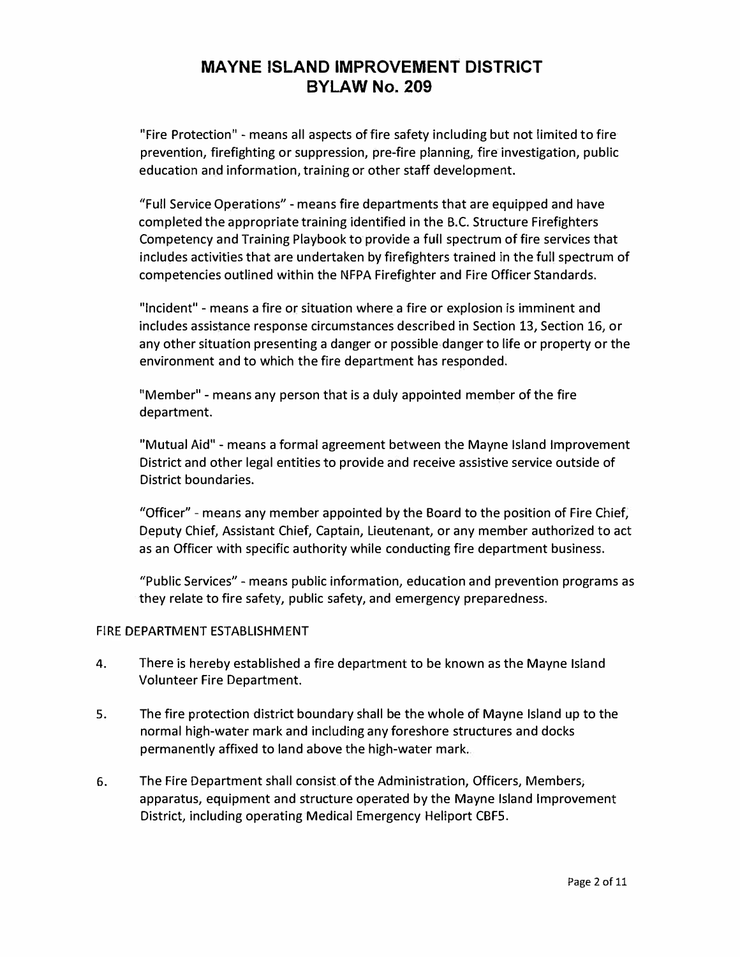"Fire Protection" - means all aspects of fire safety including but not limited to fire prevention, firefighting or suppression, pre-fire planning, fire investigation, public education and information, training or other staff development.

"Full Service Operations" - means fire departments that are equipped and have completed the appropriate training identified in the B.C. Structure Firefighters Competency and Training Playbook to provide a full spectrum of fire services that includes activities that are undertaken by firefighters trained in the full spectrum of competencies outlined within the NFPA Firefighter and Fire Officer Standards.

"Incident" - means a fire or situation where a fire or explosion is imminent and includes assistance response circumstances described in Section 13, Section 16, or any other situation presenting a danger or possible danger to life or property or the environment and to which the fire department has responded.

"Member" - means any person that is a duly appointed member of the fire department.

"Mutual Aid" - means a formal agreement between the Mayne Island Improvement District and other legal entities to provide and receive assistive service outside of District boundaries.

"Officer" - means any member appointed by the Board to the position of Fire Chief, Deputy Chief, Assistant Chief, Captain, Lieutenant, or any member authorized to act as an Officer with specific authority while conducting fire department business.

"Public Services" - means public information, education and prevention programs as they relate to fire safety, public safety, and emergency preparedness.

### FIRE DEPARTMENT ESTABLISHMENT

- 4. There is hereby established a fire department to be known as the Mayne Island Volunteer Fire Department.
- 5. The fire protection district boundary shall be the whole of Mayne Island up to the normal high-water mark and including any foreshore structures and docks permanently affixed to land above the high-water mark.
- 6. The Fire Department shall consist of the Administration, Officers, Members, apparatus, equipment and structure operated by the Mayne Island Improvement District, including operating Medical Emergency Heliport CBFS.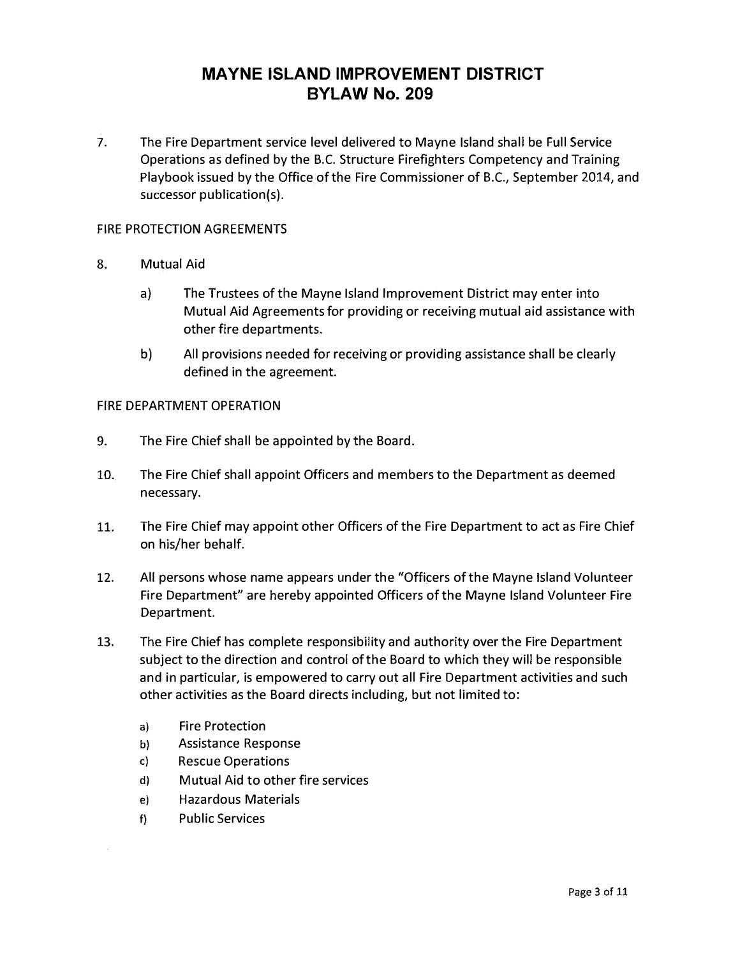7. The Fire Department service level delivered to Mayne Island shall be **Full** Service Operations as defined by the B.C. Structure Firefighters Competency and Training Playbook issued by the Office of the Fire Commissioner of B.C., September 2014, and successor publication(s).

### FIRE PROTECTION AGREEMENTS

- 8. Mutual Aid
	- a) The Trustees of the Mayne Island Improvement District may enter into Mutual Aid Agreements for providing or receiving mutual aid assistance with other fire departments.
	- b) All provisions needed for receiving or providing assistance shall be clearly defined in the agreement.

#### FIRE DEPARTMENT OPERATION

- 9. The Fire Chief shall be appointed by the Board.
- 10. The Fire Chief shall appoint Officers and members to the Department as deemed necessary.
- 11. The Fire Chief may appoint other Officers of the Fire Department to act as Fire Chief on his/her behalf.
- 12. All persons whose name appears under the "Officers of the Mayne Island Volunteer Fire Department" are hereby appointed Officers of the Mayne Island Volunteer Fire Department.
- 13. The Fire Chief has complete responsibility and authority over the Fire Department subject to the direction and control of the Board to which they will be responsible and in particular, is empowered to carry out all Fire Department activities and such other activities as the Board directs including, but not limited to:
	- a) Fire Protection
	- b) Assistance Response
	- c) Rescue Operations
	- d) Mutual Aid to other fire services
	- e) Hazardous Materials
	- f) Public Services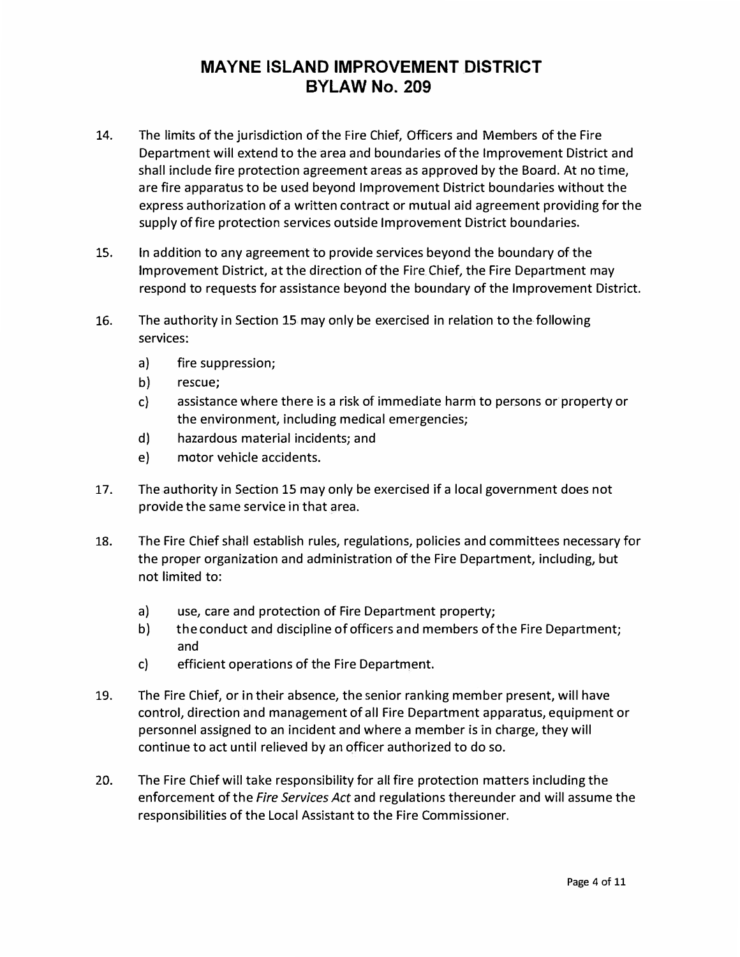- 14. The limits of the jurisdiction of the Fire Chief, Officers and Members of the Fire Department will extend to the area and boundaries of the Improvement District and shall include fire protection agreement areas as approved by the Board. At no time, are fire apparatus to be used beyond Improvement District boundaries without the express authorization of a written contract or mutual aid agreement providing for the supply of fire protection services outside Improvement District boundaries.
- 15. In addition to any agreement to provide services beyond the boundary of the Improvement District, at the direction of the Fire Chief, the Fire Department may respond to requests for assistance beyond the boundary of the Improvement District.
- 16. The authority in Section 15 may only be exercised in relation to the following services:
	- a) fire suppression;
	- b) rescue;
	- c) assistance where there is a risk of immediate harm to persons or property or the environment, including medical emergencies;
	- d) hazardous material incidents; and
	- e) motor vehicle accidents.
- 17. The authority in Section 15 may only be exercised if a local government does not provide the same service in that area.
- 18. The Fire Chief shall establish rules, regulations, policies and committees necessary for the proper organization and administration of the Fire Department, including, but not limited to:
	- a) use, care and protection of Fire Department property;
	- b) the conduct and discipline of officers and members of the Fire Department; and
	- c) efficient operations of the Fire Department.
- 19. The Fire Chief, or in their absence, the senior ranking member present, will have control, direction and management of all Fire Department apparatus, equipment or personnel assigned to an incident and where a member is in charge, they will continue to act until relieved by an officer authorized to do so.
- 20. The Fire Chief will take responsibility for all fire protection matters including the enforcement of the *Fire Services Act* and regulations thereunder and will assume the responsibilities of the Local Assistant to the Fire Commissioner.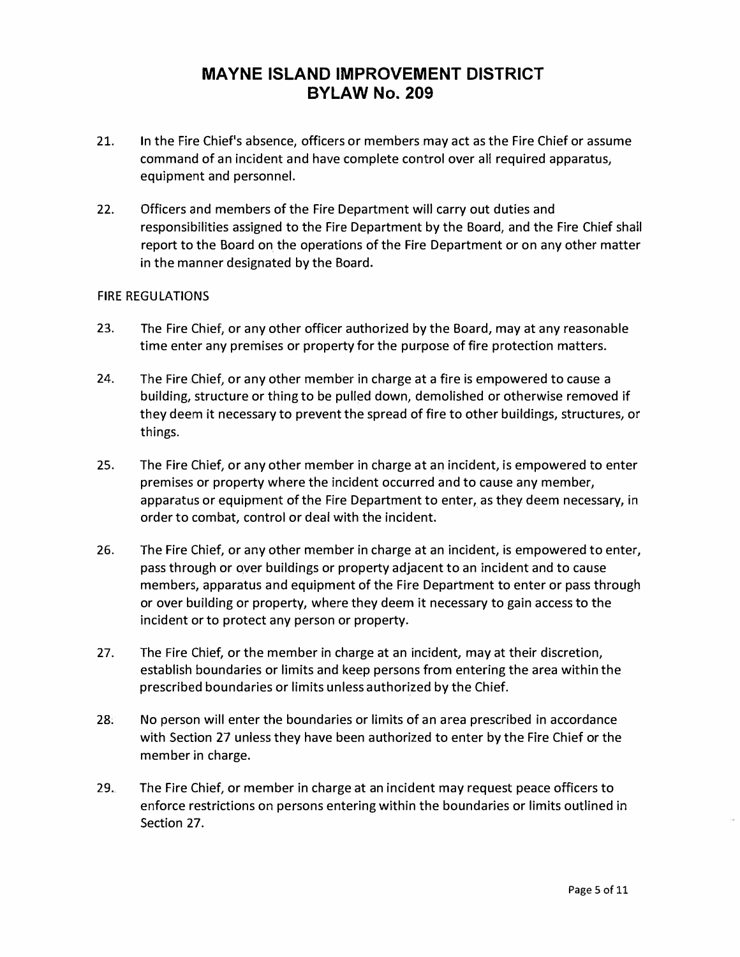- 21. In the Fire Chief's absence, officers or members may act as the Fire Chief or assume command of an incident and have complete control over all required apparatus, equipment and personnel.
- 22. Officers and members of the Fire Department will carry out duties and responsibilities assigned to the Fire Department by the Board, and the Fire Chief shall report to the Board on the operations of the Fire Department or on any other matter in the manner designated by the Board.

### FIRE REGULATIONS

- 23. The Fire Chief, or any other officer authorized by the Board, may at any reasonable time enter any premises or property for the purpose of fire protection matters.
- 24. The Fire Chief, or any other member in charge at a fire is empowered to cause a building, structure or thing to be pulled down, demolished or otherwise removed if they deem it necessary to prevent the spread of fire to other buildings, structures, or things.
- 25. The Fire Chief, or any other member in charge at an incident, is empowered to enter premises or property where the incident occurred and to cause any member, apparatus or equipment of the Fire Department to enter, as they deem necessary, in order to combat, control or deal with the incident.
- 26. The Fire Chief, or any other member in charge at an incident, is empowered to enter, pass through or over buildings or property adjacent to an incident and to cause members, apparatus and equipment of the Fire Department to enter or pass through or over building or property, where they deem it necessary to gain access to the incident or to protect any person or property.
- 27. The Fire Chief, or the member in charge at an incident, may at their discretion, establish boundaries or limits and keep persons from entering the area within the prescribed boundaries or limits unless authorized by the Chief.
- 28. No person will enter the boundaries or limits of an area prescribed in accordance with Section 27 unless they have been authorized to enter by the Fire Chief or the member in charge.
- 29. The Fire Chief, or member in charge at an incident may request peace officers to enforce restrictions on persons entering within the boundaries or limits outlined in Section 27.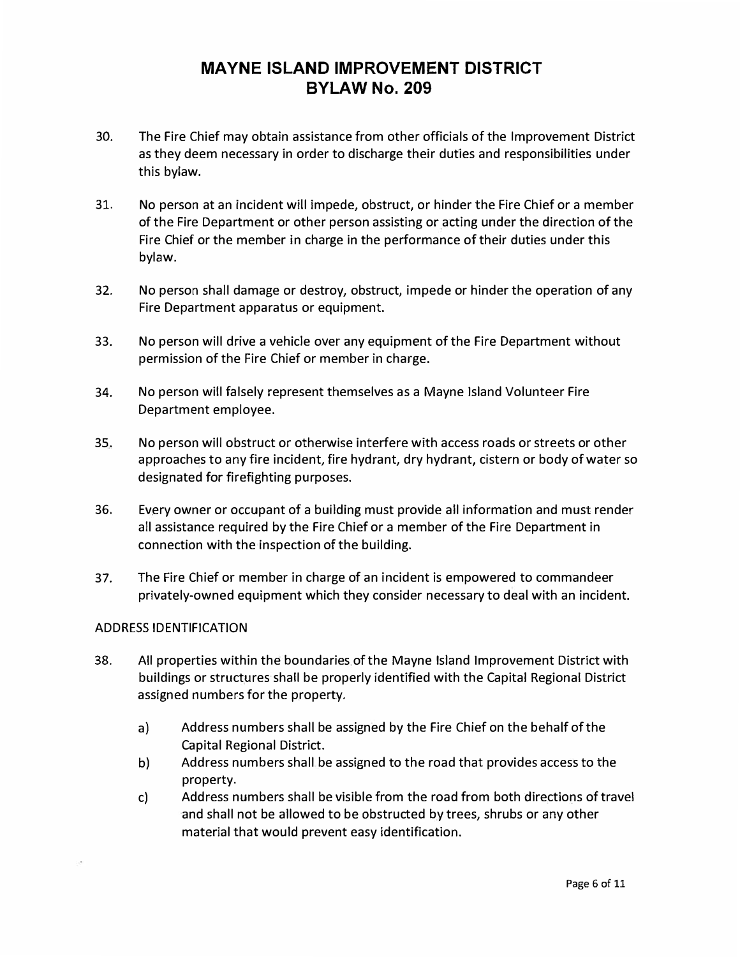- 30. The Fire Chief may obtain assistance from other officials of the Improvement District as they deem necessary in order to discharge their duties and responsibilities under this bylaw.
- 31. No person at an incident will impede, obstruct, or hinder the Fire Chief or a member of the Fire Department or other person assisting or acting under the direction of the Fire Chief or the member in charge in the performance of their duties under this bylaw.
- 32. No person shall damage or destroy, obstruct, impede or hinder the operation of any Fire Department apparatus or equipment.
- 33. No person will drive a vehicle over any equipment of the Fire Department without permission of the Fire Chief or member in charge.
- 34. No person will falsely represent themselves as a Mayne Island Volunteer Fire Department employee.
- 35. No person will obstruct or otherwise interfere with access roads or streets or other approaches to any fire incident, fire hydrant, dry hydrant, cistern or body of water so designated for firefighting purposes.
- 36. Every owner or occupant of a building must provide all information and must render all assistance required by the Fire Chief or a member of the Fire Department in connection with the inspection of the building.
- 37. The Fire Chief or member in charge of an incident is empowered to commandeer privately-owned equipment which they consider necessary to deal with an incident.

#### ADDRESS IDENTIFICATION

- 38. All properties within the boundaries of the Mayne Island Improvement District with buildings or structures shall be properly identified with the Capital Regional District assigned numbers for the property.
	- a) Address numbers shall be assigned by the Fire Chief on the behalf of the Capital Regional District.
	- b) Address numbers shall be assigned to the road that provides access to the property.
	- c) Address numbers shall be visible from the road from both directions of travel and shall not be allowed to be obstructed by trees, shrubs or any other material that would prevent easy identification.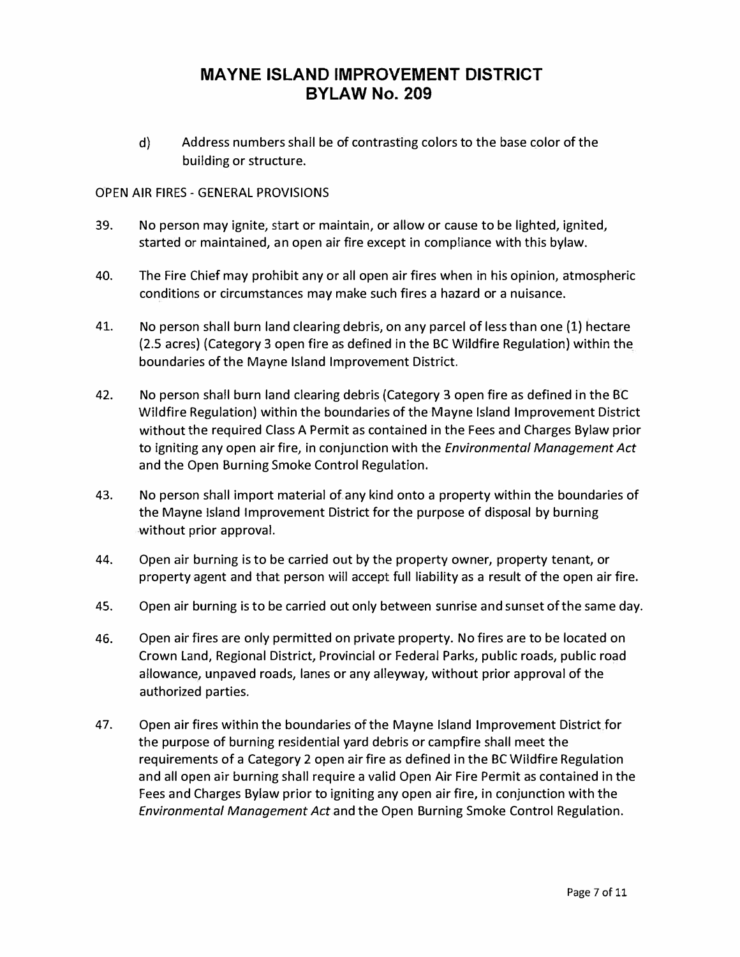d) Address numbers shall be of contrasting colors to the base color of the building or structure.

### OPEN AIR FIRES - GENERAL PROVISIONS

- 39. No person may ignite, start or maintain, or allow or cause to be lighted, ignited, started or maintained, an open air fire except in compliance with this bylaw.
- 40. The Fire Chief may prohibit any or all open air fires when in his opinion, atmospheric conditions or circumstances may make such fires a hazard or a nuisance.
- 41. No person shall burn land clearing debris, on any parcel of less than one (1) hectare (2.5 acres) (Category 3 open fire as defined in the BC Wildfire Regulation) within the boundaries of the Mayne Island Improvement District.
- 42. No person shall burn land clearing debris {Category 3 open fire as defined in the BC Wildfire Regulation) within the boundaries of the Mayne Island Improvement District without the required Class A Permit as contained in the Fees and Charges Bylaw prior to igniting any open air fire, in conjunction with the *Environmental Management Act* and the Open Burning Smoke Control Regulation.
- 43. No person shall import material of any kind onto a property within the boundaries of the Mayne Island Improvement District for the purpose of disposal by burning without prior approval.
- 44. Open air burning is to be carried out by the property owner, property tenant, or property agent and that person will accept full liability as a result of the open air fire.
- 45. Open air burning is to be carried out only between sunrise and sunset of the same day.
- 46. Open air fires are only permitted on private property. No fires are to be located on Crown Land, Regional District, Provincial or Federal Parks, public roads, public road allowance, unpaved roads, lanes or any alleyway, without prior approval of the authorized parties.
- 47. Open air fires within the boundaries of the Mayne Island Improvement District for the purpose of burning residential yard debris or campfire shall meet the requirements of a Category 2 open air fire as defined in the BC Wildfire Regulation and all open air burning shall require a valid Open Air Fire Permit as contained in the Fees and Charges Bylaw prior to igniting any open air fire, in conjunction with the *Environmental Management Act* and the Open Burning Smoke Control Regulation.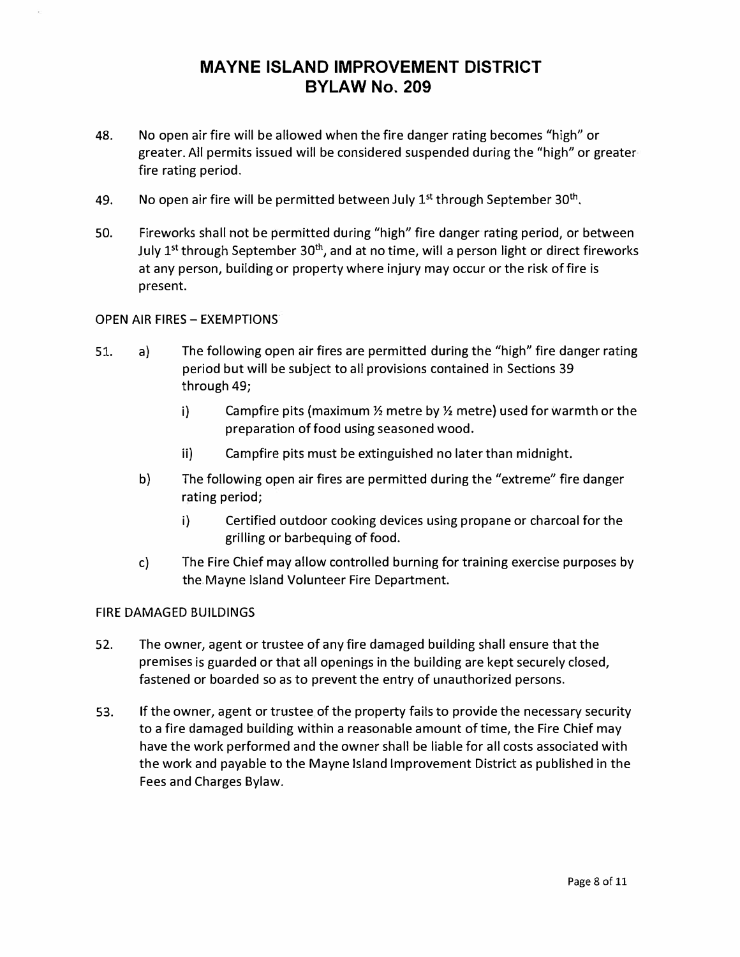- 48. No open air fire will be allowed when the fire danger rating becomes "high" or greater. All permits issued will be considered suspended during the "high" or greater fire rating period.
- 49. No open air fire will be permitted between July  $1^{st}$  through September 30<sup>th</sup>.
- 50. Fireworks shall not be permitted during "high" fire danger rating period, or between July 1<sup>st</sup> through September 30<sup>th</sup>, and at no time, will a person light or direct fireworks at any person, building or property where injury may occur or the risk of fire is present.

### OPEN AIR FIRES- EXEMPTIONS

- 51. a) The following open air fires are permitted during the "high" fire danger rating period but will be subject to all provisions contained in Sections 39 through 49;
	- i) Campfire pits (maximum½ metre by½ metre) used for warmth or the preparation of food using seasoned wood.
	- ii) Campfire pits must be extinguished no later than midnight.
	- b) The following open air fires are permitted during the "extreme" fire danger rating period;
		- i) Certified outdoor cooking devices using propane or charcoal for the grilling or barbequing of food.
	- c) The Fire Chief may allow controlled burning for training exercise purposes by the Mayne Island Volunteer Fire Department.

### FIRE DAMAGED BUILDINGS

- 52. The owner, agent or trustee of any fire damaged building shall ensure that the premises is guarded or that all openings in the building are kept securely closed, fastened or boarded so as to prevent the entry of unauthorized persons.
- 53. If the owner, agent or trustee of the property fails to provide the necessary security to a fire damaged building within a reasonable amount of time, the Fire Chief may have the work performed and the owner shall be liable for all costs associated with the work and payable to the Mayne Island Improvement District as published in the Fees and Charges Bylaw.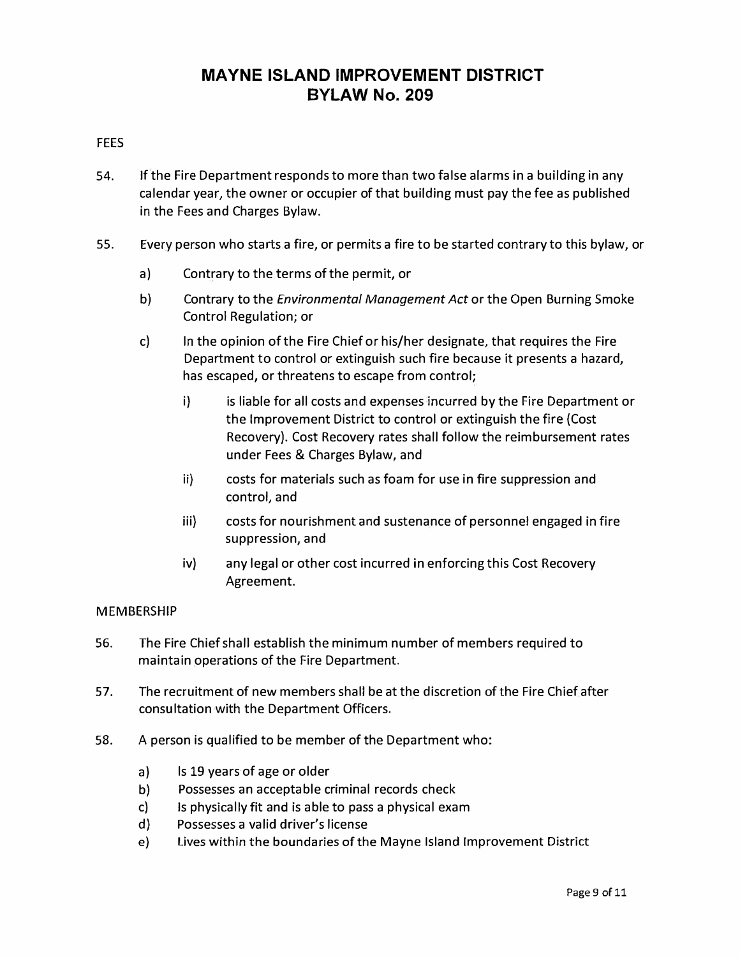### FEES

- 54. If the Fire Department responds to more than two false alarms in a building in any calendar year, the owner or occupier of that building must pay the fee as published in the Fees and Charges Bylaw.
- 55. Every person who starts a fire, or permits a fire to be started contrary to this bylaw, or
	- a) Contrary to the terms of the permit, or
	- b) Contrary to the *Environmental Management Act* or the Open Burning Smoke Control Regulation; or
	- c) In the opinion of the Fire Chief or his/her designate, that requires the Fire Department to control or extinguish such fire because it presents a hazard, has escaped, or threatens to escape from control;
		- i) is liable for all costs and expenses incurred by the Fire Department or the Improvement District to control or extinguish the fire (Cost Recovery). Cost Recovery rates shall follow the reimbursement rates under Fees & Charges Bylaw, and
		- ii) costs for materials such as foam for use in fire suppression and control, and
		- iii) costs for nourishment and sustenance of personnel engaged in fire suppression, and
		- iv) any legal or other cost incurred in enforcing this Cost Recovery Agreement.

### MEMBERSHIP

- 56. The Fire Chief shall establish the minimum number of members required to maintain operations of the Fire Department.
- 57. The recruitment of new members shall be at the discretion of the Fire Chief after consultation with the Department Officers.
- 58. A person is qualified to be member of the Department who:
	- a) Is 19 years of age or older
	- b) Possesses an acceptable criminal records check
	- c) Is physically fit and is able to pass a physical exam
	- d) Possesses a valid driver's license
	- e} Lives within the boundaries of the Mayne Island Improvement District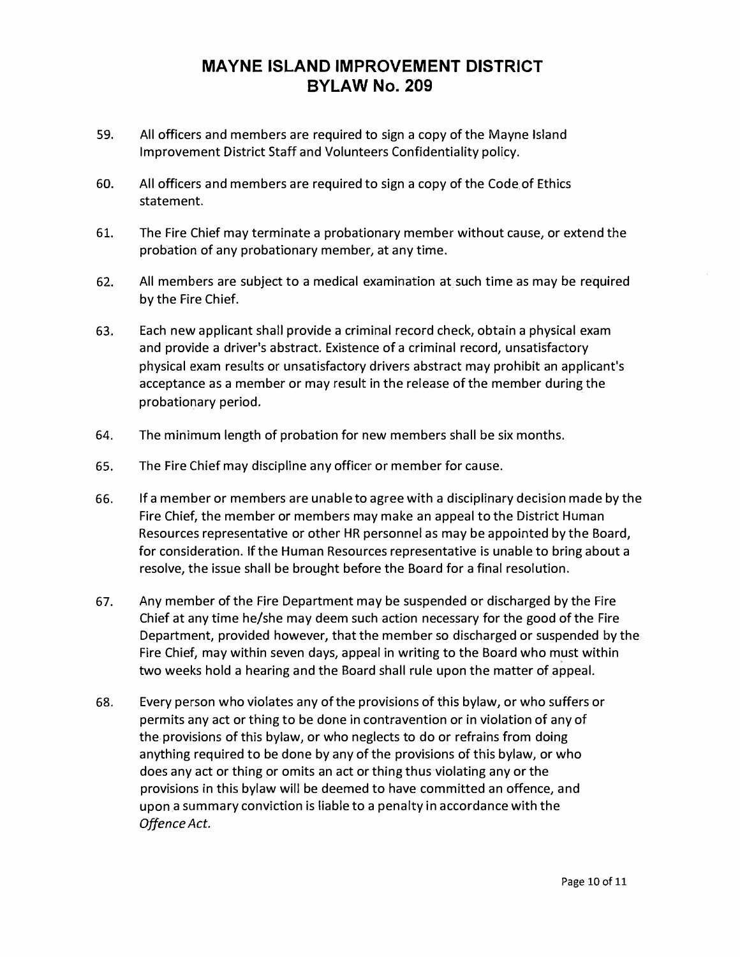- 59. All officers and members are required to sign a copy of the Mayne Island Improvement District Staff and Volunteers Confidentiality policy.
- 60. All officers and members are required to sign a copy of the Code of Ethics statement.
- 61. The Fire Chief may terminate a probationary member without cause, or extend the probation of any probationary member, at any time.
- 62. All members are subject to a medical examination at such time as may be required by the Fire Chief.
- 63. Each new applicant shall provide a criminal record check, obtain a physical exam and provide a driver's abstract. Existence of a criminal record, unsatisfactory physical exam results or unsatisfactory drivers abstract may prohibit an applicant's acceptance as a member or may result in the release of the member during the probationary period.
- 64. The minimum length of probation for new members shall be six months.
- 65. The Fire Chief may discipline any officer or member for cause.
- 66. If a member or members are unable to agree with a disciplinary decision made by the Fire Chief, the member or members may make an appeal to the District Human Resources representative or other HR personnel as may be appointed by the Board, for consideration. If the Human Resources representative is unable to bring about a resolve, the issue shall be brought before the Board for a final resolution.
- 67. Any member of the Fire Department may be suspended or discharged by the Fire Chief at any time he/she may deem such action necessary for the good of the Fire Department, provided however, that the member so discharged or suspended by the Fire Chief, may within seven days, appeal in writing to the Board who must within two weeks hold a hearing and the Board shall rule upon the matter of appeal.
- 68. Every person who violates any of the provisions of this bylaw, or who suffers or permits any act or thing to be done in contravention or in violation of any of the provisions of this bylaw, or who neglects to do or refrains from doing anything required to be done by any of the provisions of this bylaw, or who does any act or thing or omits an act or thing thus violating any or the provisions in this bylaw will be deemed to have committed an offence, and upon a summary conviction is liable to a penalty in accordance with the *Offence Act.*